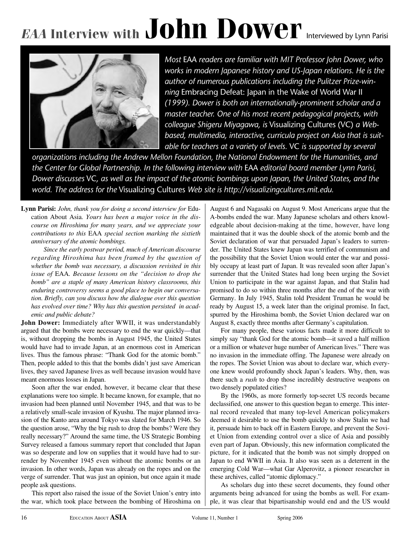# EAA Interview with  $John$   $Dower$  Interviewed by Lynn Parisi

*Most* EAA *readers are familiar with MIT Professor John Dower, who works in modern Japanese history and US-Japan relations. He is the author of numerous publications including the Pulitzer Prize-winning* Embracing Defeat: Japan in the Wake of World War II *(1999). Dower is both an internationally-prominent scholar and a master teacher. One of his most recent pedagogical projects, with colleague Shigeru Miyagawa, is* Visualizing Cultures (VC) *a Webbased, multimedia, interactive, curricula project on Asia that is suitable for teachers at a variety of levels.* VC *is supported by several*

*organizations including the Andrew Mellon Foundation, the National Endowment for the Humanities, and the Center for Global Partnership. In the following interview with* EAA *editorial board member Lynn Parisi, Dower discusses* VC*, as well as the impact of the atomic bombings upon Japan, the United States, and the world. The address for the* Visualizing Cultures *Web site is http://visualizingcultures.mit.edu.*

**Lynn Parisi:** *John, thank you for doing a second interview for* Education About Asia*. Yours has been a major voice in the discourse on Hiroshima for many years, and we appreciate your contributions to this* EAA *special section marking the sixtieth anniversary of the atomic bombings.* 

*Since the early postwar period, much of American discourse regarding Hiroshima has been framed by the question of whether the bomb was necessary, a discussion revisited in this issue of* EAA*. Because lessons on the "decision to drop the bomb" are a staple of many American history classrooms, this enduring controversy seems a good place to begin our conversation. Briefly, can you discuss how the dialogue over this question has evolved over time? Why has this question persisted in academic and public debate?*

**John Dower:** Immediately after WWII, it was understandably argued that the bombs were necessary to end the war quickly—that is, without dropping the bombs in August 1945, the United States would have had to invade Japan, at an enormous cost in American lives. Thus the famous phrase: "Thank God for the atomic bomb." Then, people added to this that the bombs didn't just save American lives, they saved Japanese lives as well because invasion would have meant enormous losses in Japan.

Soon after the war ended, however, it became clear that these explanations were too simple. It became known, for example, that no invasion had been planned until November 1945, and that was to be a relatively small-scale invasion of Kyushu. The major planned invasion of the Kanto area around Tokyo was slated for March 1946. So the question arose, "Why the big rush to drop the bombs? Were they really necessary?" Around the same time, the US Strategic Bombing Survey released a famous summary report that concluded that Japan was so desperate and low on supplies that it would have had to surrender by November 1945 even without the atomic bombs or an invasion. In other words, Japan was already on the ropes and on the verge of surrender. That was just an opinion, but once again it made people ask questions.

This report also raised the issue of the Soviet Union's entry into the war, which took place between the bombing of Hiroshima on August 6 and Nagasaki on August 9. Most Americans argue that the A-bombs ended the war. Many Japanese scholars and others knowledgeable about decision-making at the time, however, have long maintained that it was the double shock of the atomic bomb and the Soviet declaration of war that persuaded Japan's leaders to surrender. The United States knew Japan was terrified of communism and the possibility that the Soviet Union would enter the war and possibly occupy at least part of Japan. It was revealed soon after Japan's surrender that the United States had long been urging the Soviet Union to participate in the war against Japan, and that Stalin had promised to do so within three months after the end of the war with Germany. In July 1945, Stalin told President Truman he would be ready by August 15, a week later than the original promise. In fact, spurred by the Hiroshima bomb, the Soviet Union declared war on August 8, exactly three months after Germany's capitulation.

For many people, these various facts made it more difficult to simply say "thank God for the atomic bomb—it saved a half million or a million or whatever huge number of American lives." There was no invasion in the immediate offing. The Japanese were already on the ropes. The Soviet Union was about to declare war, which everyone knew would profoundly shock Japan's leaders. Why, then, was there such a *rush* to drop those incredibly destructive weapons on two densely populated cities?

By the 1960s, as more formerly top-secret US records became declassified, one answer to this question began to emerge. This internal record revealed that many top-level American policymakers deemed it desirable to use the bomb quickly to show Stalin we had it, persuade him to back off in Eastern Europe, and prevent the Soviet Union from extending control over a slice of Asia and possibly even part of Japan. Obviously, this new information complicated the picture, for it indicated that the bomb was not simply dropped on Japan to end WWII in Asia. It also was seen as a deterrent in the emerging Cold War—what Gar Alperovitz, a pioneer researcher in these archives, called "atomic diplomacy."

As scholars dug into these secret documents, they found other arguments being advanced for using the bombs as well. For example, it was clear that bipartisanship would end and the US would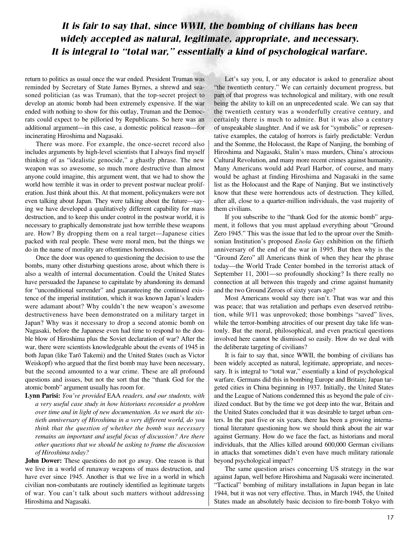### *It is fair to say that, since WWII, the bombing of civilians has been widely accepted as natural, legitimate, appropriate, and necessary. It is integral to "total war," essentially a kind of psychological warfare.*

return to politics as usual once the war ended. President Truman was reminded by Secretary of State James Byrnes, a shrewd and seasoned politician (as was Truman), that the top-secret project to develop an atomic bomb had been extremely expensive. If the war ended with nothing to show for this outlay, Truman and the Democrats could expect to be pilloried by Republicans. So here was an additional argument—in this case, a domestic political reason—for incinerating Hiroshima and Nagasaki.

There was more. For example, the once-secret record also includes arguments by high-level scientists that I always find myself thinking of as "idealistic genocide," a ghastly phrase. The new weapon was so awesome, so much more destructive than almost anyone could imagine, this argument went, that we had to show the world how terrible it was in order to prevent postwar nuclear proliferation. Just think about this. At that moment, policymakers were not even talking about Japan. They were talking about the future—saying we have developed a qualitatively different capability for mass destruction, and to keep this under control in the postwar world, it is necessary to graphically demonstrate just how terrible these weapons are. How? By dropping them on a real target—Japanese cities packed with real people. These were moral men, but the things we do in the name of morality are oftentimes horrendous.

Once the door was opened to questioning the decision to use the bombs, many other disturbing questions arose, about which there is also a wealth of internal documentation. Could the United States have persuaded the Japanese to capitulate by abandoning its demand for "unconditional surrender" and guaranteeing the continued existence of the imperial institution, which it was known Japan's leaders were adamant about? Why couldn't the new weapon's awesome destructiveness have been demonstrated on a military target in Japan? Why was it necessary to drop a second atomic bomb on Nagasaki, before the Japanese even had time to respond to the double blow of Hiroshima plus the Soviet declaration of war? After the war, there were scientists knowledgeable about the events of 1945 in both Japan (like Tarō Takemi) and the United States (such as Victor Weiskopf) who argued that the first bomb may have been necessary, but the second amounted to a war crime. These are all profound questions and issues, but not the sort that the "thank God for the atomic bomb" argument usually has room for.

**Lynn Parisi:** *You've provided* EAA *readers, and our students, with a very useful case study in how historians reconsider a problem over time and in light of new documentation. As we mark the sixtieth anniversary of Hiroshima in a very different world, do you think that the question of whether the bomb was necessary remains an important and useful focus of discussion? Are there other questions that we should be asking to frame the discussion of Hiroshima today?*

**John Dower:** These questions do not go away. One reason is that we live in a world of runaway weapons of mass destruction, and have ever since 1945. Another is that we live in a world in which civilian non-combatants are routinely identified as legitimate targets of war. You can't talk about such matters without addressing Hiroshima and Nagasaki.

Let's say you, I, or any educator is asked to generalize about "the twentieth century." We can certainly document progress, but part of that progress was technological and military, with one result being the ability to kill on an unprecedented scale. We can say that the twentieth century was a wonderfully creative century, and certainly there is much to admire. But it was also a century of unspeakable slaughter. And if we ask for "symbolic" or representative examples, the catalog of horrors is fairly predictable: Verdun and the Somme, the Holocaust, the Rape of Nanjing, the bombing of Hiroshima and Nagasaki, Stalin's mass murders, China's atrocious Cultural Revolution, and many more recent crimes against humanity. Many Americans would add Pearl Harbor, of course, and many would be aghast at finding Hiroshima and Nagasaki in the same list as the Holocaust and the Rape of Nanjing. But we instinctively know that these were horrendous acts of destruction. They killed, after all, close to a quarter-million individuals, the vast majority of them civilians.

If you subscribe to the "thank God for the atomic bomb" argument, it follows that you must applaud everything about "Ground Zero 1945." This was the issue that led to the uproar over the Smithsonian Institution's proposed *Enola Gay* exhibition on the fiftieth anniversary of the end of the war in 1995. But then why is the "Ground Zero" all Americans think of when they hear the phrase today—the World Trade Center bombed in the terrorist attack of September 11, 2001—so profoundly shocking? Is there really no connection at all between this tragedy and crime against humanity and the two Ground Zeroes of sixty years ago?

Most Americans would say there isn't. That was war and this was peace; that was retaliation and perhaps even deserved retribution, while 9/11 was unprovoked; those bombings "saved" lives, while the terror-bombing atrocities of our present day take life wantonly. But the moral, philosophical, and even practical questions involved here cannot be dismissed so easily. How do we deal with the deliberate targeting of civilians?

It is fair to say that, since WWII, the bombing of civilians has been widely accepted as natural, legitimate, appropriate, and necessary. It is integral to "total war," essentially a kind of psychological warfare. Germans did this in bombing Europe and Britain; Japan targeted cities in China beginning in 1937 . Initially, the United States and the League of Nations condemned this as beyond the pale of civilized conduct. But by the time we got deep into the war, Britain and the United States concluded that it was desirable to target urban centers. In the past five or six years, there has been a growing international literature questioning how we should think about the air war against Germany. How do we face the fact, as historians and moral individuals, that the Allies killed around 600,000 German civilians in attacks that sometimes didn't even have much military rationale beyond psychological impact?

The same question arises concerning US strategy in the war against Japan, well before Hiroshima and Nagasaki were incinerated. "Tactical" bombing of military installations in Japan began in late 1944, but it was not very effective. Thus, in March 1945, the United States made an absolutely basic decision to fire-bomb Tokyo with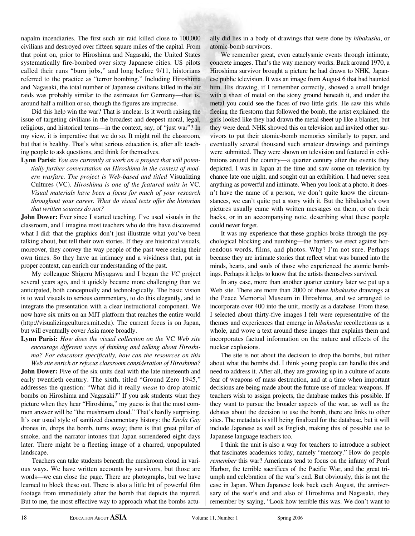napalm incendiaries. The first such air raid killed close to 100,000 civilians and destroyed over fifteen square miles of the capital. From that point on, prior to Hiroshima and Nagasaki, the United States systematically fire-bombed over sixty Japanese cities. US pilots called their runs "burn jobs," and long before 9/11, historians referred to the practice as "terror bombing." Including Hiroshima and Nagasaki, the total number of Japanese civilians killed in the air raids was probably similar to the estimates for Germany—that is, around half a million or so, though the figures are imprecise.

Did this help win the war? That is unclear. Is it worth raising the issue of targeting civilians in the broadest and deepest moral, legal, religious, and historical terms—in the context, say, of "just war"? In my view, it is imperative that we do so. It might roil the classroom, but that is healthy. That's what serious education is, after all: teaching people to ask questions, and think for themselves.

**Lynn Parisi:** *You are currently at work on a project that will potentially further converstation on Hiroshima in the context of modern warfare. The project is Web-based and titled* Visualizing Cultures (VC)*. Hiroshima is one of the featured units in* VC*. Visual materials have been a focus for much of your research throughout your career. What do visual texts offer the historian that written sources do not?*

**John Dower:** Ever since I started teaching, I've used visuals in the classroom, and I imagine most teachers who do this have discovered what I did: that the graphics don't just illustrate what you've been talking about, but tell their own stories. If they are historical visuals, moreover, they convey the way people of the past were seeing their own times. So they have an intimacy and a vividness that, put in proper context, can enrich our understanding of the past.

My colleague Shigeru Miyagawa and I began the *VC* project several years ago, and it quickly became more challenging than we anticipated, both conceptually and technologically. The basic vision is to wed visuals to serious commentary, to do this elegantly, and to integrate the presentation with a clear instructional component. We now have six units on an MIT platform that reaches the entire world (http://visualizingcultures.mit.edu). The current focus is on Japan, but will eventually cover Asia more broadly.

#### **Lynn Parisi:** *How does the visual collection on the* VC *Web site encourage different ways of thinking and talking about Hiroshima? For educators specifically, how can the resources on this Web site enrich or refocus classroom consideration of Hiroshima?*

**John Dower:** Five of the six units deal with the late nineteenth and early twentieth century. The sixth, titled "Ground Zero 1945," addresses the question: "What did it really *mean* to drop atomic bombs on Hiroshima and Nagasaki?" If you ask students what they picture when they hear "Hiroshima," my guess is that the most common answer will be "the mushroom cloud." That's hardly surprising. It's our usual style of sanitized documentary history: the *Enola Gay* drones in, drops the bomb, turns away; there is that great pillar of smoke, and the narrator intones that Japan surrendered eight days later. There might be a fleeting image of a charred, unpopulated landscape.

Teachers can take students beneath the mushroom cloud in various ways. We have written accounts by survivors, but those are words—we can close the page. There are photographs, but we have learned to block these out. There is also a little bit of powerful film footage from immediately after the bomb that depicts the injured. But to me, the most effective way to approach what the bombs actually did lies in a body of drawings that were done by *hibakusha*, or atomic-bomb survivors.

We remember great, even cataclysmic events through intimate, concrete images. That's the way memory works. Back around 1970, a Hiroshima survivor brought a picture he had drawn to NHK, Japanese public television. It was an image from August 6 that had haunted him. His drawing, if I remember correctly, showed a small bridge with a sheet of metal on the stony ground beneath it, and under the metal you could see the faces of two little girls. He saw this while fleeing the firestorm that followed the bomb, the artist explained: the girls looked like they had drawn the metal sheet up like a blanket, but they were dead. NHK showed this on television and invited other survivors to put their atomic-bomb memories similarly to paper, and eventually several thousand such amateur drawings and paintings were submitted. They were shown on television and featured in exhibitions around the country—a quarter century after the events they depicted. I was in Japan at the time and saw some on television by chance late one night, and sought out an exhibition. I had never seen anything as powerful and intimate. When you look at a photo, it doesn't have the name of a person, we don't quite know the circumstances, we can't quite put a story with it. But the hibakusha's own pictures usually came with written messages on them, or on their backs, or in an accompanying note, describing what these people could never forget.

It was my experience that these graphics broke through the psychological blocking and numbing—the barriers we erect against horrendous words, films, and photos. Why? I'm not sure. Perhaps because they are intimate stories that reflect what was burned into the minds, hearts, and souls of those who experienced the atomic bombings. Perhaps it helps to know that the artists themselves survived.

In any case, more than another quarter century later we put up a Web site. There are more than 2000 of these *hibakusha* drawings at the Peace Memorial Museum in Hiroshima, and we arranged to incorporate over 400 into the unit, mostly as a database. From these, I selected about thirty-five images I felt were representative of the themes and experiences that emerge in *hibakusha* recollections as a whole, and wove a text around these images that explains them and incorporates factual information on the nature and effects of the nuclear explosions.

The site is not about the decision to drop the bombs, but rather about what the bombs did. I think young people can handle this and need to address it. After all, they are growing up in a culture of acute fear of weapons of mass destruction, and at a time when important decisions are being made about the future use of nuclear weapons. If teachers wish to assign projects, the database makes this possible. If they want to pursue the broader aspects of the war, as well as the debates about the decision to use the bomb, there are links to other sites. The metadata is still being finalized for the database, but it will include Japanese as well as English, making this of possible use to Japanese language teachers too.

I think the unit is also a way for teachers to introduce a subject that fascinates academics today, namely "memory." How do people *remember* this war? Americans tend to focus on the infamy of Pearl Harbor, the terrible sacrifices of the Pacific War, and the great triumph and celebration of the war's end. But obviously, this is not the case in Japan. When Japanese look back each August, the anniversary of the war's end and also of Hiroshima and Nagasaki, they remember by saying, "Look how terrible this was. We don't want to